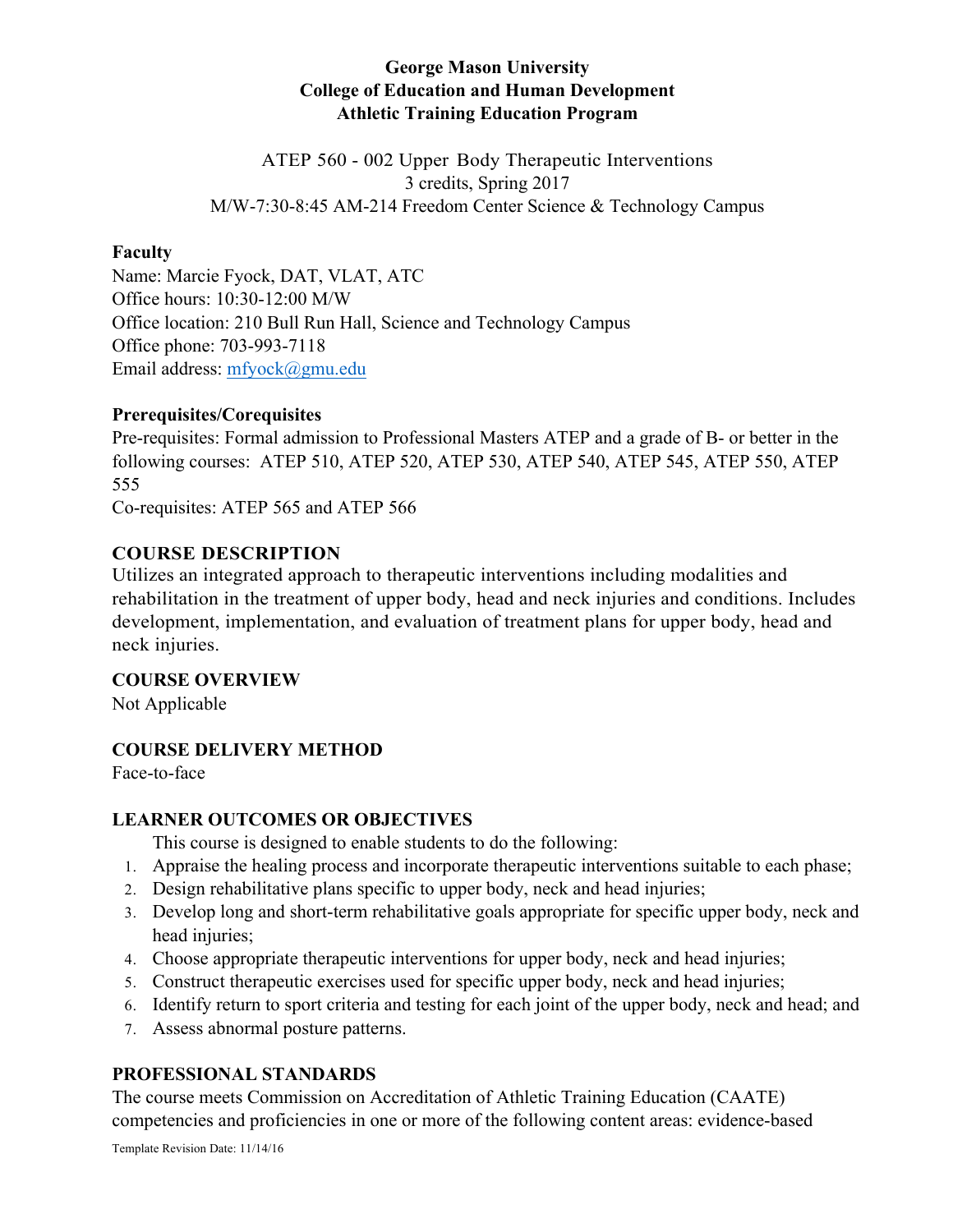# **George Mason University College of Education and Human Development Athletic Training Education Program**

ATEP 560 - 002 Upper Body Therapeutic Interventions 3 credits, Spring 2017 M/W-7:30-8:45 AM-214 Freedom Center Science & Technology Campus

## **Faculty**

Name: Marcie Fyock, DAT, VLAT, ATC Office hours: 10:30-12:00 M/W Office location: 210 Bull Run Hall, Science and Technology Campus Office phone: 703-993-7118 Email address: mfyock@gmu.edu

## **Prerequisites/Corequisites**

Pre-requisites: Formal admission to Professional Masters ATEP and a grade of B- or better in the following courses: ATEP 510, ATEP 520, ATEP 530, ATEP 540, ATEP 545, ATEP 550, ATEP 555

Co-requisites: ATEP 565 and ATEP 566

# **COURSE DESCRIPTION**

Utilizes an integrated approach to therapeutic interventions including modalities and rehabilitation in the treatment of upper body, head and neck injuries and conditions. Includes development, implementation, and evaluation of treatment plans for upper body, head and neck injuries.

# **COURSE OVERVIEW**

Not Applicable

# **COURSE DELIVERY METHOD**

Face-to-face

# **LEARNER OUTCOMES OR OBJECTIVES**

This course is designed to enable students to do the following:

- 1. Appraise the healing process and incorporate therapeutic interventions suitable to each phase;
- 2. Design rehabilitative plans specific to upper body, neck and head injuries;
- 3. Develop long and short-term rehabilitative goals appropriate for specific upper body, neck and head injuries;
- 4. Choose appropriate therapeutic interventions for upper body, neck and head injuries;
- 5. Construct therapeutic exercises used for specific upper body, neck and head injuries;
- 6. Identify return to sport criteria and testing for each joint of the upper body, neck and head; and
- 7. Assess abnormal posture patterns.

# **PROFESSIONAL STANDARDS**

The course meets Commission on Accreditation of Athletic Training Education (CAATE) competencies and proficiencies in one or more of the following content areas: evidence-based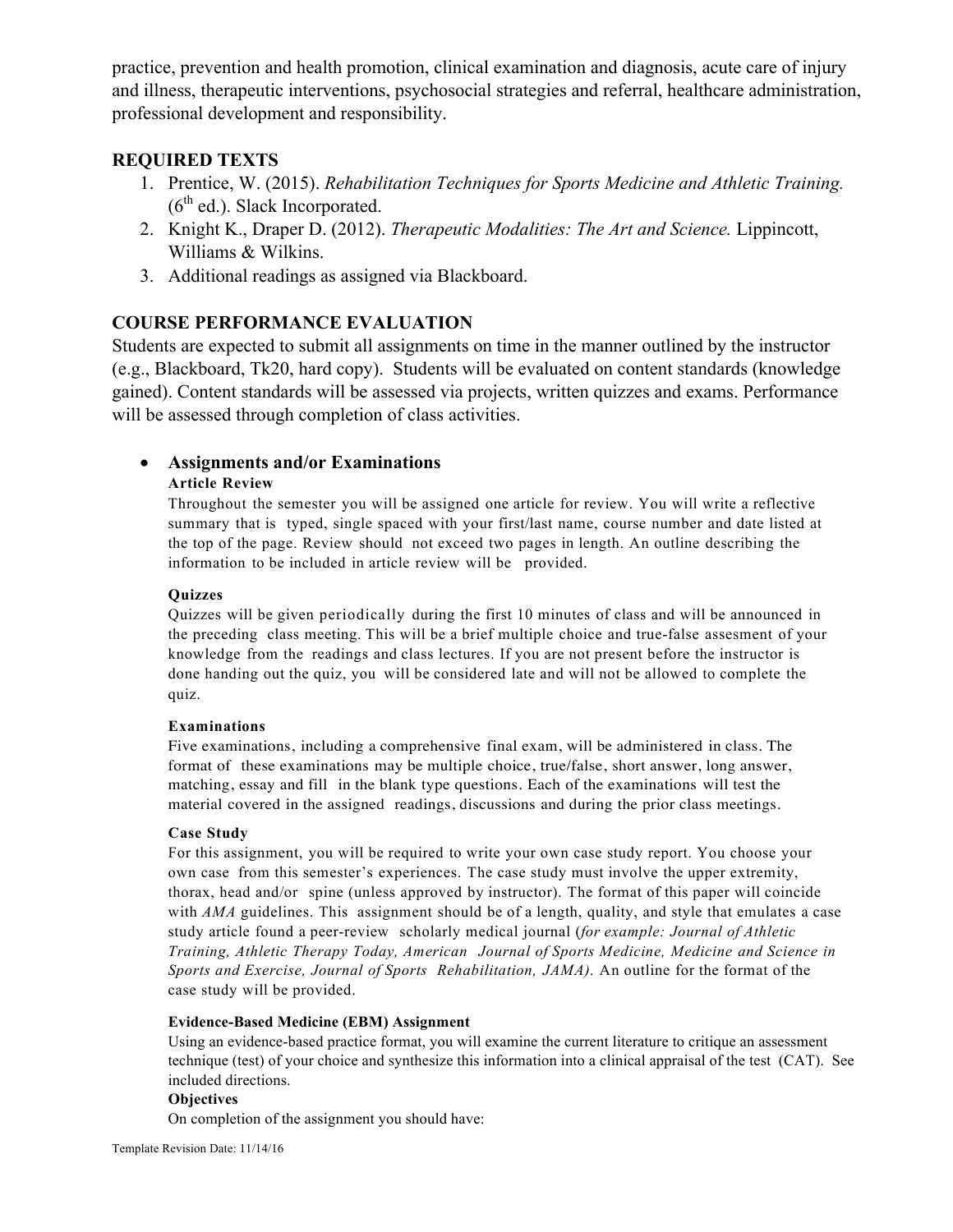practice, prevention and health promotion, clinical examination and diagnosis, acute care of injury and illness, therapeutic interventions, psychosocial strategies and referral, healthcare administration, professional development and responsibility.

## **REQUIRED TEXTS**

- 1. Prentice, W. (2015). *Rehabilitation Techniques for Sports Medicine and Athletic Training.*   $(6<sup>th</sup>$  ed.). Slack Incorporated.
- 2. Knight K., Draper D. (2012). *Therapeutic Modalities: The Art and Science.* Lippincott, Williams & Wilkins.
- 3. Additional readings as assigned via Blackboard.

## **COURSE PERFORMANCE EVALUATION**

Students are expected to submit all assignments on time in the manner outlined by the instructor (e.g., Blackboard, Tk20, hard copy). Students will be evaluated on content standards (knowledge gained). Content standards will be assessed via projects, written quizzes and exams. Performance will be assessed through completion of class activities.

## • **Assignments and/or Examinations**

### **Article Review**

Throughout the semester you will be assigned one article for review. You will write a reflective summary that is typed, single spaced with your first/last name, course number and date listed at the top of the page. Review should not exceed two pages in length. An outline describing the information to be included in article review will be provided.

### **Quizzes**

Quizzes will be given periodically during the first 10 minutes of class and will be announced in the preceding class meeting. This will be a brief multiple choice and true-false assesment of your knowledge from the readings and class lectures. If you are not present before the instructor is done handing out the quiz, you will be considered late and will not be allowed to complete the quiz.

### **Examinations**

Five examinations, including a comprehensive final exam, will be administered in class. The format of these examinations may be multiple choice, true/false, short answer, long answer, matching, essay and fill in the blank type questions. Each of the examinations will test the material covered in the assigned readings, discussions and during the prior class meetings.

### **Case Study**

For this assignment, you will be required to write your own case study report. You choose your own case from this semester's experiences. The case study must involve the upper extremity, thorax, head and/or spine (unless approved by instructor). The format of this paper will coincide with *AMA* guidelines. This assignment should be of a length, quality, and style that emulates a case study article found a peer-review scholarly medical journal (*for example: Journal of Athletic Training, Athletic Therapy Today, American Journal of Sports Medicine, Medicine and Science in Sports and Exercise, Journal of Sports Rehabilitation, JAMA).* An outline for the format of the case study will be provided.

#### **Evidence-Based Medicine (EBM) Assignment**

Using an evidence-based practice format, you will examine the current literature to critique an assessment technique (test) of your choice and synthesize this information into a clinical appraisal of the test (CAT). See included directions.

#### **Objectives**

On completion of the assignment you should have: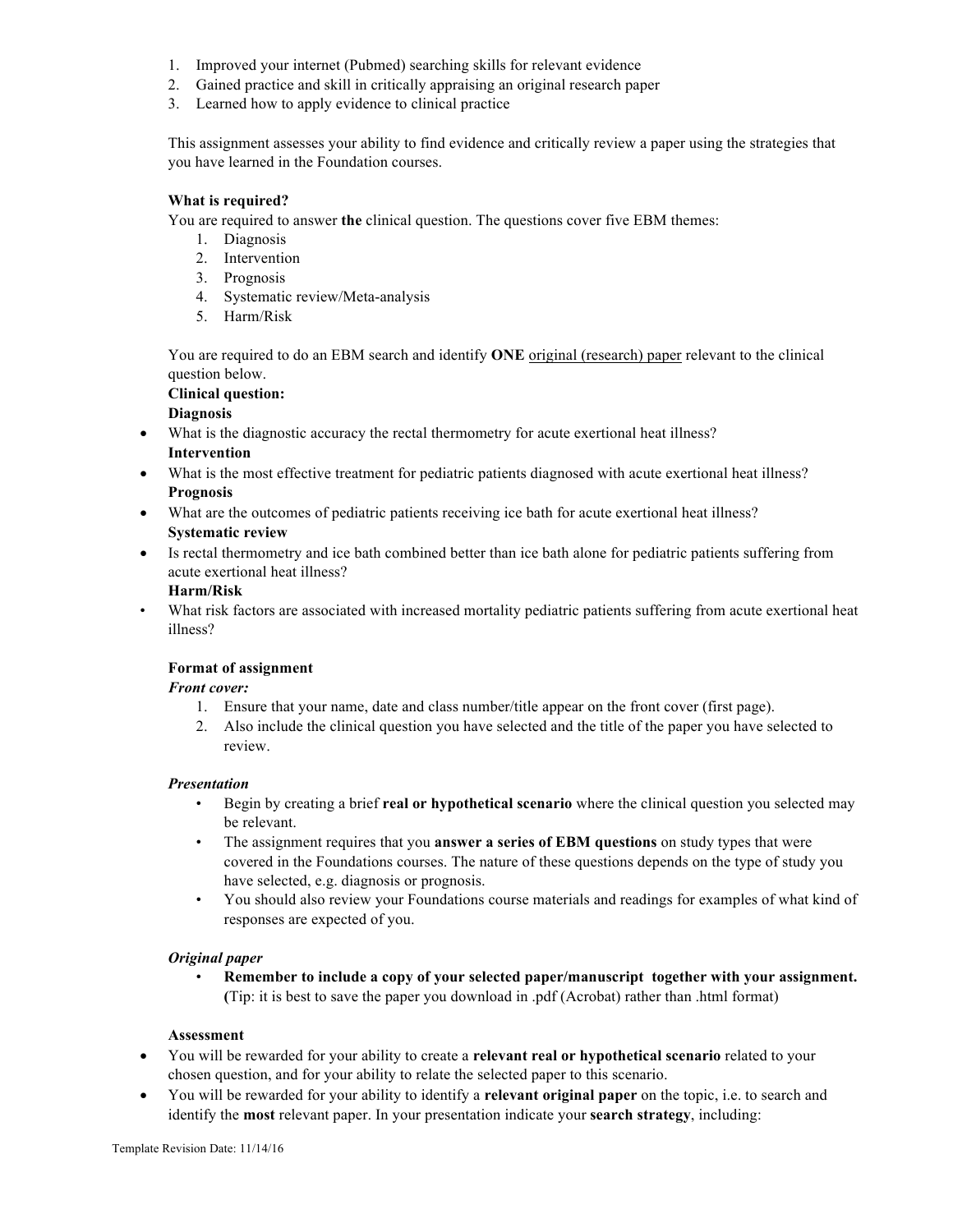- 1. Improved your internet (Pubmed) searching skills for relevant evidence
- 2. Gained practice and skill in critically appraising an original research paper
- 3. Learned how to apply evidence to clinical practice

This assignment assesses your ability to find evidence and critically review a paper using the strategies that you have learned in the Foundation courses.

#### **What is required?**

You are required to answer **the** clinical question. The questions cover five EBM themes:

- 1. Diagnosis
- 2. Intervention
- 3. Prognosis
- 4. Systematic review/Meta-analysis
- 5. Harm/Risk

You are required to do an EBM search and identify **ONE** original (research) paper relevant to the clinical question below.

# **Clinical question:**

# **Diagnosis**

- What is the diagnostic accuracy the rectal thermometry for acute exertional heat illness? **Intervention**
- What is the most effective treatment for pediatric patients diagnosed with acute exertional heat illness? **Prognosis**
- What are the outcomes of pediatric patients receiving ice bath for acute exertional heat illness? **Systematic review**
- Is rectal thermometry and ice bath combined better than ice bath alone for pediatric patients suffering from acute exertional heat illness?

#### **Harm/Risk**

• What risk factors are associated with increased mortality pediatric patients suffering from acute exertional heat illness?

### **Format of assignment**

#### *Front cover:*

- 1. Ensure that your name, date and class number/title appear on the front cover (first page).
- 2. Also include the clinical question you have selected and the title of the paper you have selected to review.

#### *Presentation*

- Begin by creating a brief **real or hypothetical scenario** where the clinical question you selected may be relevant.
- The assignment requires that you **answer a series of EBM questions** on study types that were covered in the Foundations courses. The nature of these questions depends on the type of study you have selected, e.g. diagnosis or prognosis.
- You should also review your Foundations course materials and readings for examples of what kind of responses are expected of you.

#### *Original paper*

• **Remember to include a copy of your selected paper/manuscript together with your assignment. (**Tip: it is best to save the paper you download in .pdf (Acrobat) rather than .html format)

#### **Assessment**

- You will be rewarded for your ability to create a **relevant real or hypothetical scenario** related to your chosen question, and for your ability to relate the selected paper to this scenario.
- You will be rewarded for your ability to identify a **relevant original paper** on the topic, i.e. to search and identify the **most** relevant paper. In your presentation indicate your **search strategy**, including: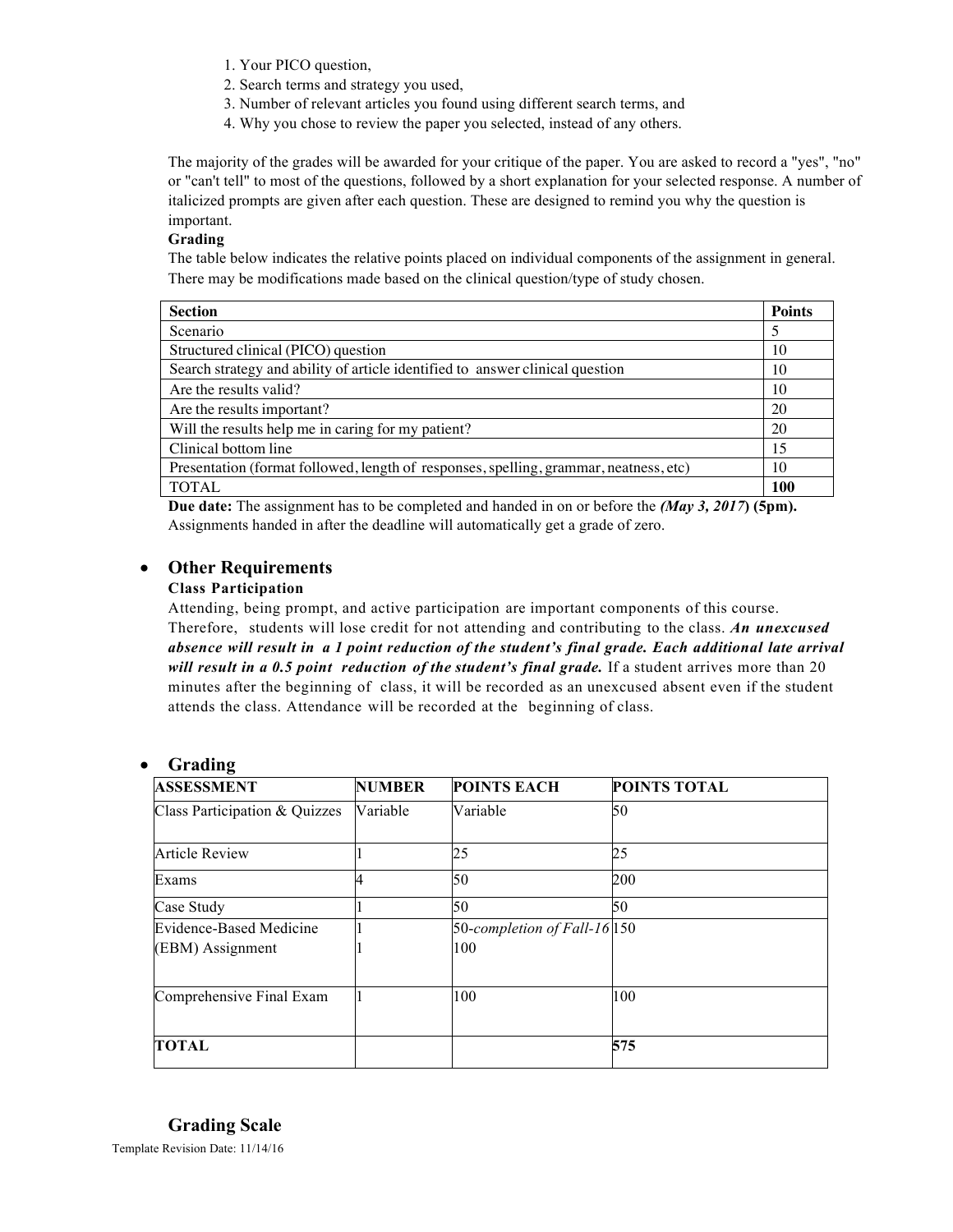- 1. Your PICO question,
- 2. Search terms and strategy you used,
- 3. Number of relevant articles you found using different search terms, and
- 4. Why you chose to review the paper you selected, instead of any others.

The majority of the grades will be awarded for your critique of the paper. You are asked to record a "yes", "no" or "can't tell" to most of the questions, followed by a short explanation for your selected response. A number of italicized prompts are given after each question. These are designed to remind you why the question is important.

### **Grading**

The table below indicates the relative points placed on individual components of the assignment in general. There may be modifications made based on the clinical question/type of study chosen.

| <b>Section</b>                                                                        | <b>Points</b> |
|---------------------------------------------------------------------------------------|---------------|
| Scenario                                                                              | 5             |
| Structured clinical (PICO) question                                                   | 10            |
| Search strategy and ability of article identified to answer clinical question         | 10            |
| Are the results valid?                                                                | 10            |
| Are the results important?                                                            | 20            |
| Will the results help me in caring for my patient?                                    | 20            |
| Clinical bottom line                                                                  | 15            |
| Presentation (format followed, length of responses, spelling, grammar, neatness, etc) | 10            |
| <b>TOTAL</b>                                                                          | 100           |

**Due date:** The assignment has to be completed and handed in on or before the *(May 3, 2017***) (5pm).** Assignments handed in after the deadline will automatically get a grade of zero.

### • **Other Requirements**

### **Class Participation**

Attending, being prompt, and active participation are important components of this course. Therefore, students will lose credit for not attending and contributing to the class. *An unexcused absence will result in a 1 point reduction of the student's final grade. Each additional late arrival will result in a 0.5 point reduction of the student's final grade.* If a student arrives more than 20 minutes after the beginning of class, it will be recorded as an unexcused absent even if the student attends the class. Attendance will be recorded at the beginning of class.

### • **Grading**

| <b>ASSESSMENT</b>                                  | <b>NUMBER</b> | <b>POINTS EACH</b>                  | <b>POINTS TOTAL</b> |
|----------------------------------------------------|---------------|-------------------------------------|---------------------|
| Class Participation & Quizzes                      | Variable      | Variable                            | 50                  |
| <b>Article Review</b>                              |               | 25                                  | 25                  |
| Exams                                              |               | 50                                  | 200                 |
| Case Study                                         |               | 50                                  | 50                  |
| <b>Evidence-Based Medicine</b><br>(EBM) Assignment |               | 50-completion of Fall-16 150<br>100 |                     |
| Comprehensive Final Exam                           |               | 100                                 | 100                 |
| <b>TOTAL</b>                                       |               |                                     | 575                 |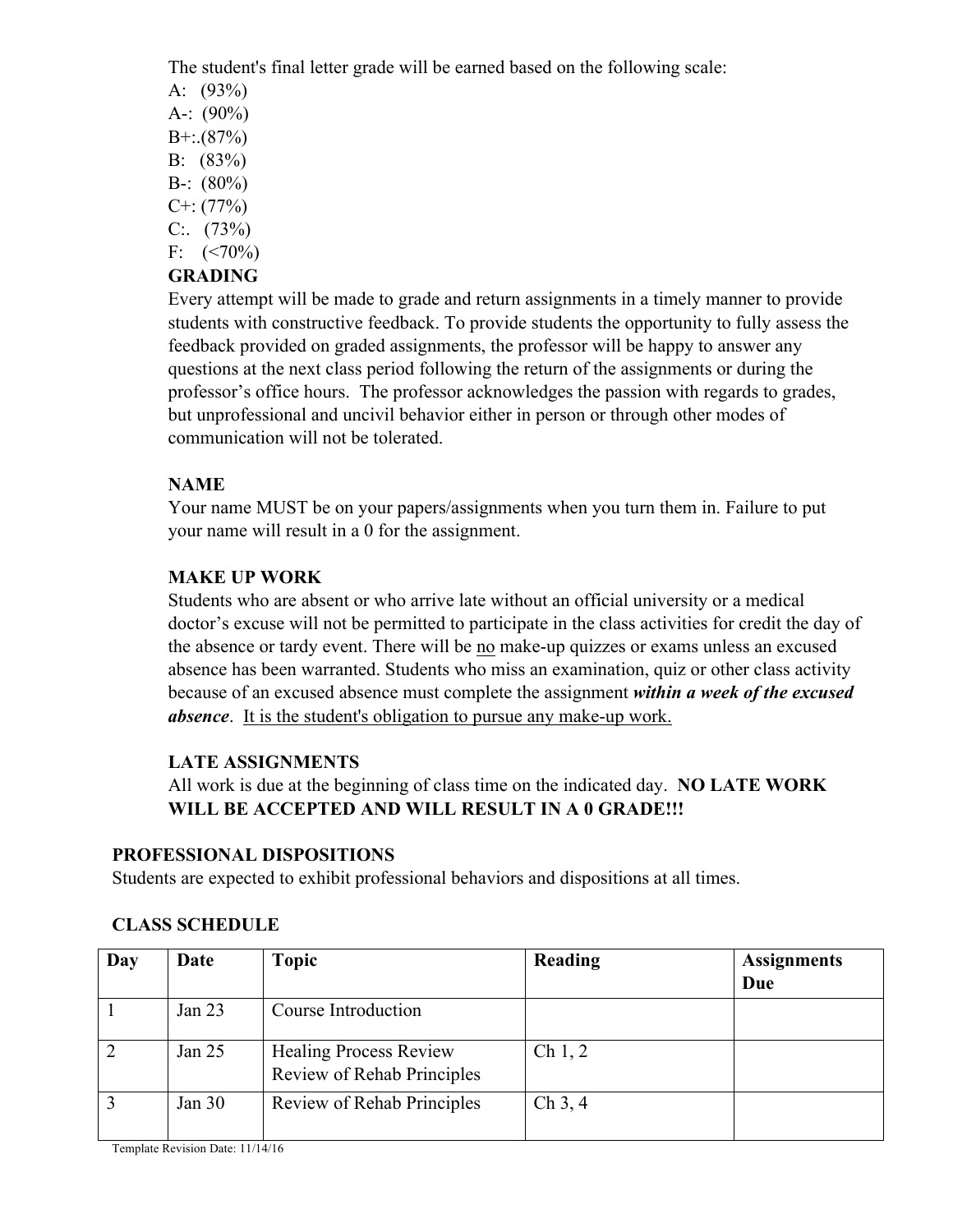The student's final letter grade will be earned based on the following scale:

- A: (93%)
- A-:  $(90\%)$
- $B^{+}$ : (87%)
- B: (83%)
- $B-$ :  $(80\%)$
- $C^{+}$ : (77%)
- $C: (73%)$
- F:  $(<70\%)$

# **GRADING**

Every attempt will be made to grade and return assignments in a timely manner to provide students with constructive feedback. To provide students the opportunity to fully assess the feedback provided on graded assignments, the professor will be happy to answer any questions at the next class period following the return of the assignments or during the professor's office hours. The professor acknowledges the passion with regards to grades, but unprofessional and uncivil behavior either in person or through other modes of communication will not be tolerated.

# **NAME**

Your name MUST be on your papers/assignments when you turn them in. Failure to put your name will result in a 0 for the assignment.

# **MAKE UP WORK**

Students who are absent or who arrive late without an official university or a medical doctor's excuse will not be permitted to participate in the class activities for credit the day of the absence or tardy event. There will be no make-up quizzes or exams unless an excused absence has been warranted. Students who miss an examination, quiz or other class activity because of an excused absence must complete the assignment *within a week of the excused absence*. It is the student's obligation to pursue any make-up work.

# **LATE ASSIGNMENTS**

All work is due at the beginning of class time on the indicated day. **NO LATE WORK WILL BE ACCEPTED AND WILL RESULT IN A 0 GRADE!!!** 

# **PROFESSIONAL DISPOSITIONS**

Students are expected to exhibit professional behaviors and dispositions at all times.

| Day | Date     | <b>Topic</b>                                                | <b>Reading</b> | <b>Assignments</b><br>Due |
|-----|----------|-------------------------------------------------------------|----------------|---------------------------|
|     | Jan $23$ | Course Introduction                                         |                |                           |
|     | Jan $25$ | <b>Healing Process Review</b><br>Review of Rehab Principles | Ch 1, 2        |                           |
|     | Jan $30$ | <b>Review of Rehab Principles</b>                           | Ch 3, 4        |                           |

# **CLASS SCHEDULE**

Template Revision Date: 11/14/16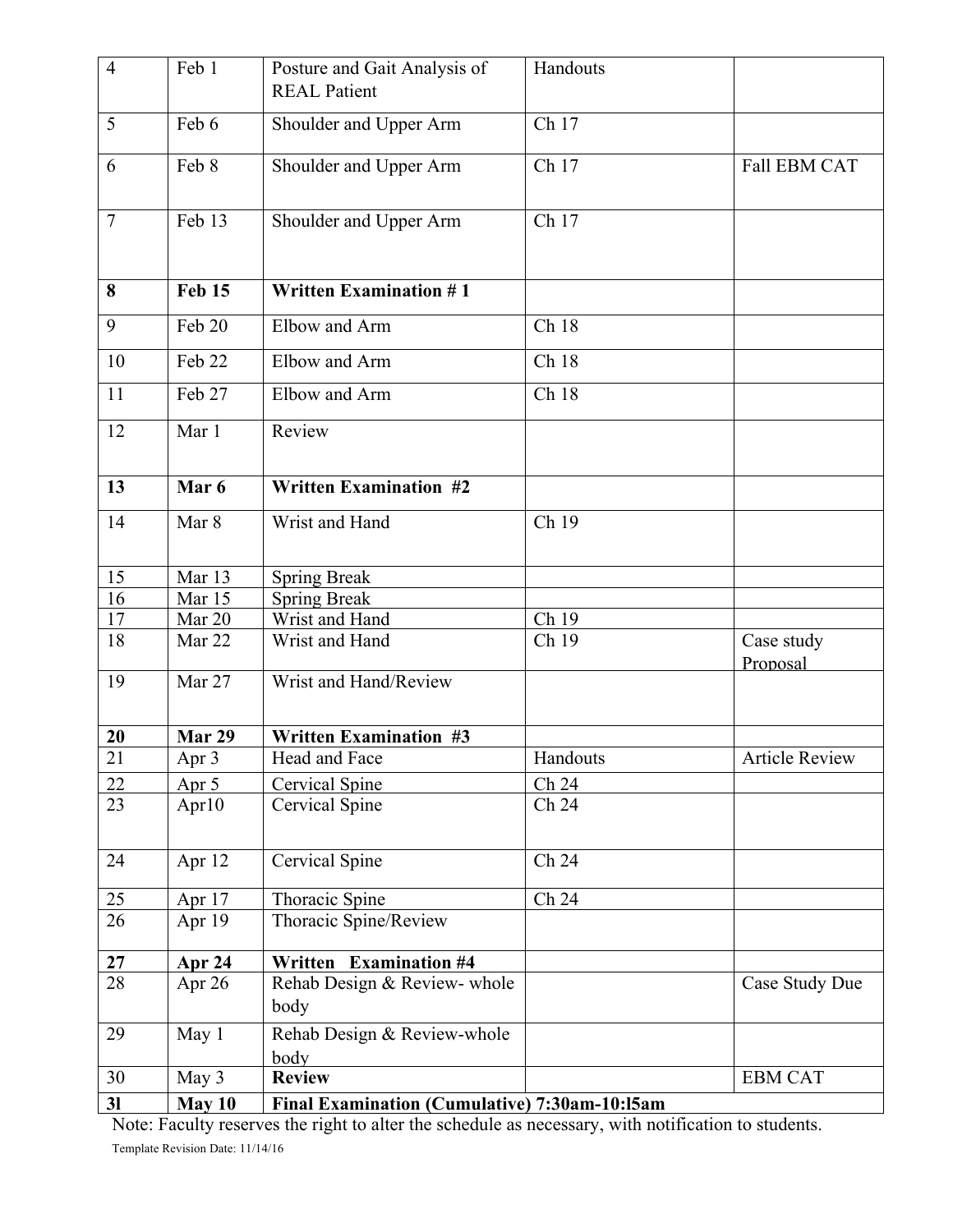| $\overline{4}$  | Feb 1         | Posture and Gait Analysis of<br><b>REAL Patient</b> | Handouts |                        |
|-----------------|---------------|-----------------------------------------------------|----------|------------------------|
| 5               | Feb 6         | Shoulder and Upper Arm                              | Ch 17    |                        |
| 6               | Feb 8         | Shoulder and Upper Arm                              | Ch 17    | <b>Fall EBM CAT</b>    |
| $7\phantom{.0}$ | Feb 13        | Shoulder and Upper Arm                              | Ch 17    |                        |
| 8               | <b>Feb 15</b> | <b>Written Examination #1</b>                       |          |                        |
| 9               | Feb 20        | Elbow and Arm                                       | Ch 18    |                        |
| 10              | Feb 22        | Elbow and Arm                                       | Ch 18    |                        |
| 11              | Feb 27        | Elbow and Arm                                       | Ch 18    |                        |
| 12              | Mar 1         | Review                                              |          |                        |
| 13              | Mar 6         | <b>Written Examination #2</b>                       |          |                        |
| 14              | Mar 8         | Wrist and Hand                                      | Ch 19    |                        |
| 15              | Mar 13        | <b>Spring Break</b>                                 |          |                        |
| 16              | Mar 15        | <b>Spring Break</b>                                 |          |                        |
| 17              | Mar 20        | Wrist and Hand                                      | Ch 19    |                        |
| 18              | Mar 22        | Wrist and Hand                                      | Ch 19    | Case study<br>Proposal |
| 19              | Mar 27        | Wrist and Hand/Review                               |          |                        |
| 20              | Mar 29        | <b>Written Examination #3</b>                       |          |                        |
| 21              | Apr 3         | Head and Face                                       | Handouts | <b>Article Review</b>  |
| 22              | Apr 5         | <b>Cervical Spine</b>                               | Ch 24    |                        |
| 23              | Apr10         | Cervical Spine                                      | Ch 24    |                        |
| 24              | Apr 12        | Cervical Spine                                      | Ch 24    |                        |
| 25              | Apr 17        | Thoracic Spine                                      | Ch 24    |                        |
| 26              | Apr 19        | Thoracic Spine/Review                               |          |                        |
| 27              | <b>Apr 24</b> | <b>Examination #4</b><br>Written                    |          |                        |
| 28              | Apr 26        | Rehab Design & Review- whole<br>body                |          | Case Study Due         |
| 29              | May 1         | Rehab Design & Review-whole<br>body                 |          |                        |
| 30              | May 3         | <b>Review</b>                                       |          | <b>EBM CAT</b>         |
| 3 <sub>l</sub>  | May 10        | Final Examination (Cumulative) 7:30am-10:15am       |          |                        |

Template Revision Date: 11/14/16 Note: Faculty reserves the right to alter the schedule as necessary, with notification to students.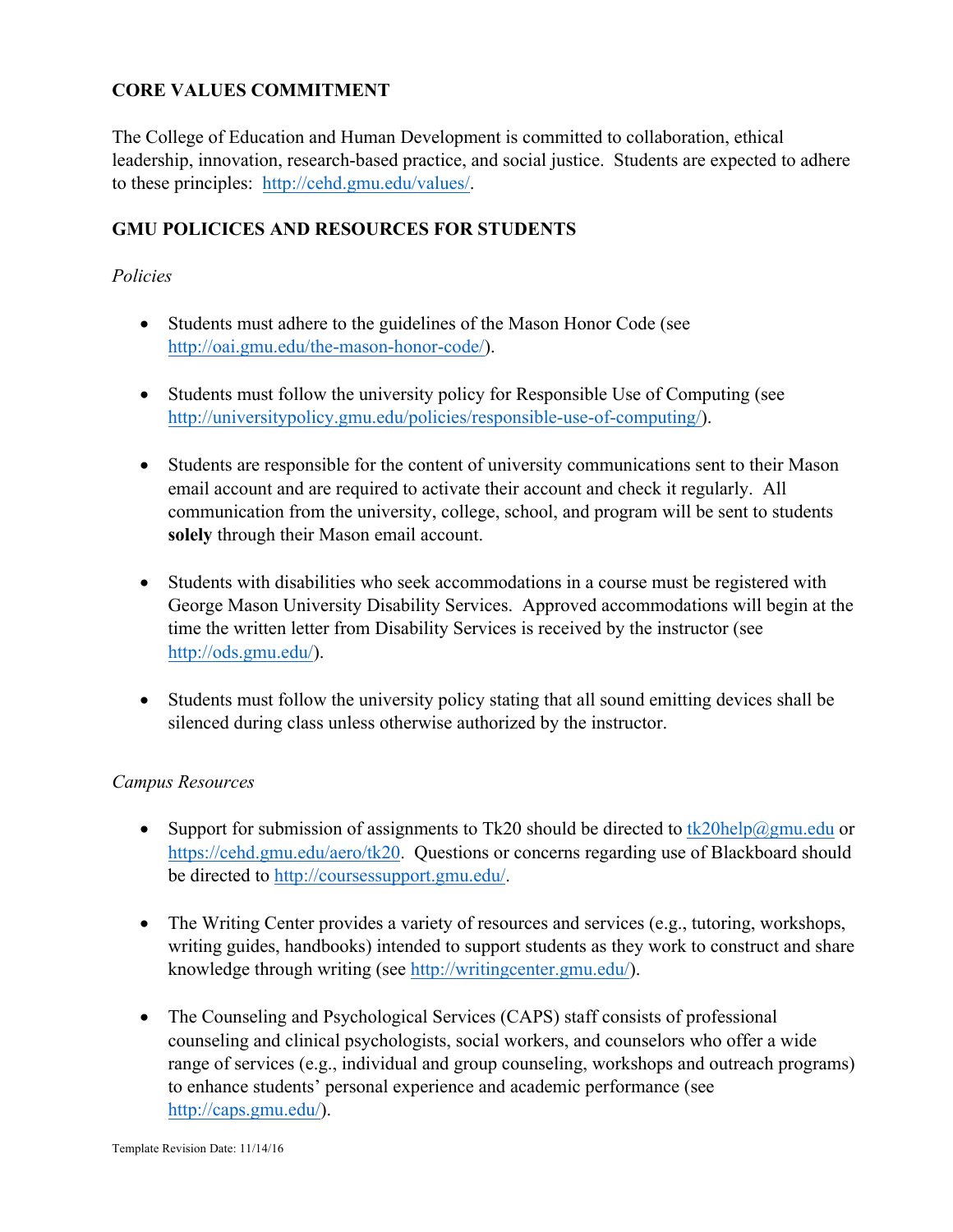# **CORE VALUES COMMITMENT**

The College of Education and Human Development is committed to collaboration, ethical leadership, innovation, research-based practice, and social justice. Students are expected to adhere to these principles: http://cehd.gmu.edu/values/.

# **GMU POLICICES AND RESOURCES FOR STUDENTS**

## *Policies*

- Students must adhere to the guidelines of the Mason Honor Code (see http://oai.gmu.edu/the-mason-honor-code/).
- Students must follow the university policy for Responsible Use of Computing (see http://universitypolicy.gmu.edu/policies/responsible-use-of-computing/).
- Students are responsible for the content of university communications sent to their Mason email account and are required to activate their account and check it regularly. All communication from the university, college, school, and program will be sent to students **solely** through their Mason email account.
- Students with disabilities who seek accommodations in a course must be registered with George Mason University Disability Services. Approved accommodations will begin at the time the written letter from Disability Services is received by the instructor (see http://ods.gmu.edu/).
- Students must follow the university policy stating that all sound emitting devices shall be silenced during class unless otherwise authorized by the instructor.

## *Campus Resources*

- Support for submission of assignments to Tk20 should be directed to  $tk20$ help $@gmu$ .edu or https://cehd.gmu.edu/aero/tk20. Questions or concerns regarding use of Blackboard should be directed to http://coursessupport.gmu.edu/.
- The Writing Center provides a variety of resources and services (e.g., tutoring, workshops, writing guides, handbooks) intended to support students as they work to construct and share knowledge through writing (see http://writingcenter.gmu.edu/).
- The Counseling and Psychological Services (CAPS) staff consists of professional counseling and clinical psychologists, social workers, and counselors who offer a wide range of services (e.g., individual and group counseling, workshops and outreach programs) to enhance students' personal experience and academic performance (see http://caps.gmu.edu/).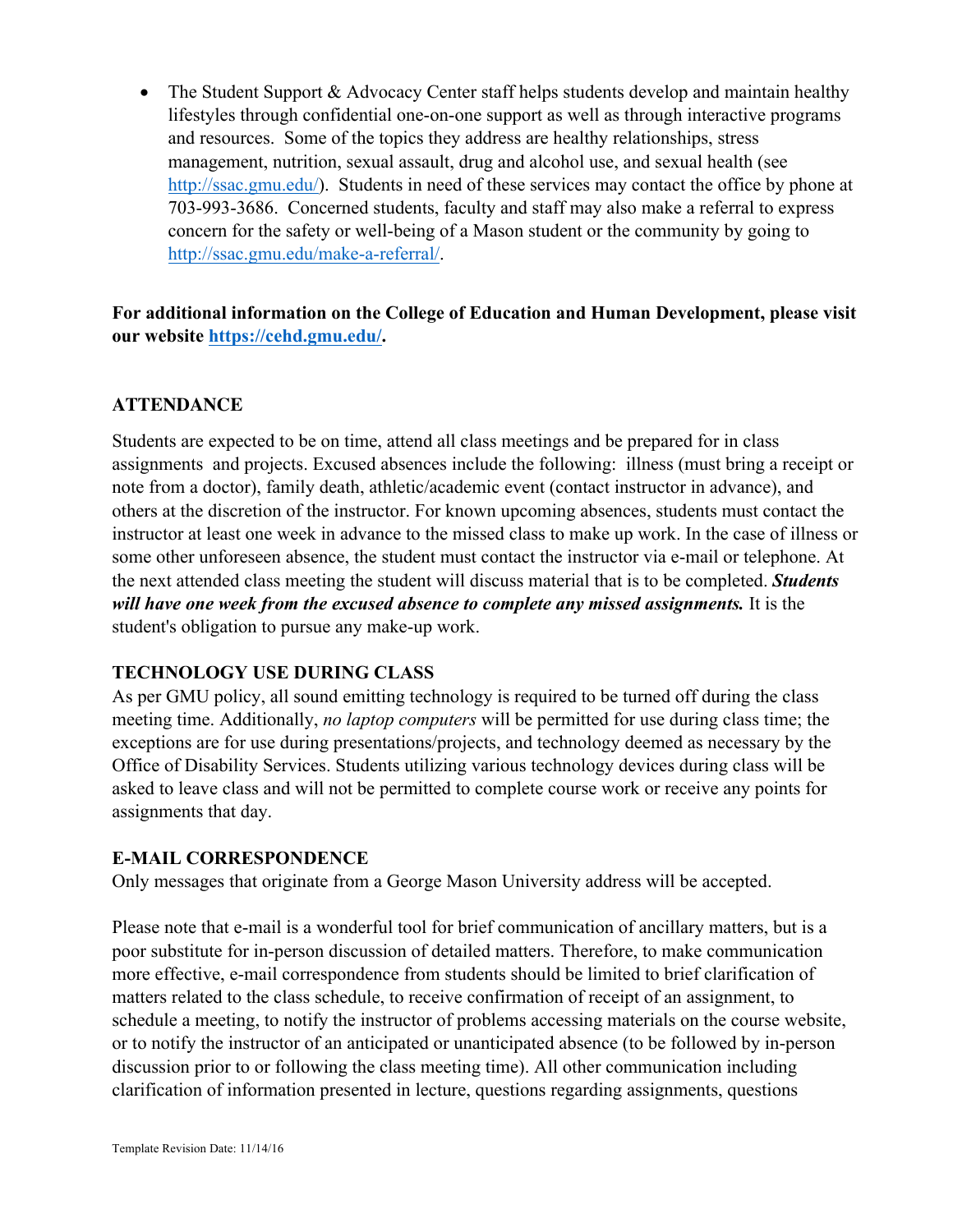• The Student Support & Advocacy Center staff helps students develop and maintain healthy lifestyles through confidential one-on-one support as well as through interactive programs and resources. Some of the topics they address are healthy relationships, stress management, nutrition, sexual assault, drug and alcohol use, and sexual health (see http://ssac.gmu.edu/). Students in need of these services may contact the office by phone at 703-993-3686. Concerned students, faculty and staff may also make a referral to express concern for the safety or well-being of a Mason student or the community by going to http://ssac.gmu.edu/make-a-referral/.

**For additional information on the College of Education and Human Development, please visit our website https://cehd.gmu.edu/.**

# **ATTENDANCE**

Students are expected to be on time, attend all class meetings and be prepared for in class assignments and projects. Excused absences include the following: illness (must bring a receipt or note from a doctor), family death, athletic/academic event (contact instructor in advance), and others at the discretion of the instructor. For known upcoming absences, students must contact the instructor at least one week in advance to the missed class to make up work. In the case of illness or some other unforeseen absence, the student must contact the instructor via e-mail or telephone. At the next attended class meeting the student will discuss material that is to be completed. *Students will have one week from the excused absence to complete any missed assignments.* It is the student's obligation to pursue any make-up work.

# **TECHNOLOGY USE DURING CLASS**

As per GMU policy, all sound emitting technology is required to be turned off during the class meeting time. Additionally, *no laptop computers* will be permitted for use during class time; the exceptions are for use during presentations/projects, and technology deemed as necessary by the Office of Disability Services. Students utilizing various technology devices during class will be asked to leave class and will not be permitted to complete course work or receive any points for assignments that day.

# **E-MAIL CORRESPONDENCE**

Only messages that originate from a George Mason University address will be accepted.

Please note that e-mail is a wonderful tool for brief communication of ancillary matters, but is a poor substitute for in-person discussion of detailed matters. Therefore, to make communication more effective, e-mail correspondence from students should be limited to brief clarification of matters related to the class schedule, to receive confirmation of receipt of an assignment, to schedule a meeting, to notify the instructor of problems accessing materials on the course website, or to notify the instructor of an anticipated or unanticipated absence (to be followed by in-person discussion prior to or following the class meeting time). All other communication including clarification of information presented in lecture, questions regarding assignments, questions